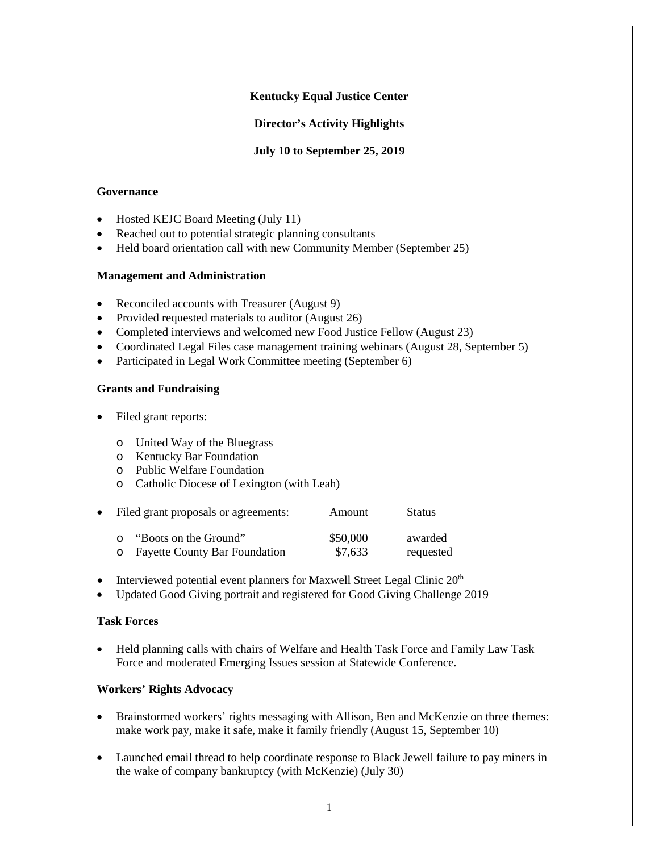# **Kentucky Equal Justice Center**

**Director's Activity Highlights**

**July 10 to September 25, 2019**

### **Governance**

- Hosted KEJC Board Meeting (July 11)
- Reached out to potential strategic planning consultants
- Held board orientation call with new Community Member (September 25)

#### **Management and Administration**

- Reconciled accounts with Treasurer (August 9)
- Provided requested materials to auditor (August 26)
- Completed interviews and welcomed new Food Justice Fellow (August 23)
- Coordinated Legal Files case management training webinars (August 28, September 5)
- Participated in Legal Work Committee meeting (September 6)

### **Grants and Fundraising**

- Filed grant reports:
	- o United Way of the Bluegrass
	- o Kentucky Bar Foundation
	- o Public Welfare Foundation
	- o Catholic Diocese of Lexington (with Leah)

|          | • Filed grant proposals or agreements: | Amount   | <b>Status</b> |
|----------|----------------------------------------|----------|---------------|
| $\cap$   | "Boots on the Ground"                  | \$50,000 | awarded       |
| $\Omega$ | <b>Fayette County Bar Foundation</b>   | \$7,633  | requested     |

- Interviewed potential event planners for Maxwell Street Legal Clinic 20<sup>th</sup>
- Updated Good Giving portrait and registered for Good Giving Challenge 2019

### **Task Forces**

• Held planning calls with chairs of Welfare and Health Task Force and Family Law Task Force and moderated Emerging Issues session at Statewide Conference.

#### **Workers' Rights Advocacy**

- Brainstormed workers' rights messaging with Allison, Ben and McKenzie on three themes: make work pay, make it safe, make it family friendly (August 15, September 10)
- Launched email thread to help coordinate response to Black Jewell failure to pay miners in the wake of company bankruptcy (with McKenzie) (July 30)